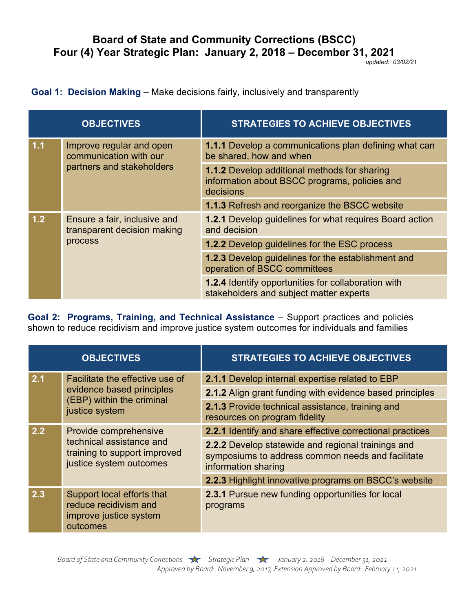## **Board of State and Community Corrections (BSCC) Four (4) Year Strategic Plan: January 2, 2018 – December 31, 2021**

*updated: 03/02/21*

## **Goal 1: Decision Making** – Make decisions fairly, inclusively and transparently

| <b>OBJECTIVES</b> |                                                                                 | <b>STRATEGIES TO ACHIEVE OBJECTIVES</b>                                                                           |
|-------------------|---------------------------------------------------------------------------------|-------------------------------------------------------------------------------------------------------------------|
| 1.1               | Improve regular and open<br>communication with our<br>partners and stakeholders | <b>1.1.1</b> Develop a communications plan defining what can<br>be shared, how and when                           |
|                   |                                                                                 | <b>1.1.2 Develop additional methods for sharing</b><br>information about BSCC programs, policies and<br>decisions |
|                   |                                                                                 | <b>1.1.3 Refresh and reorganize the BSCC website</b>                                                              |
| 1.2               | Ensure a fair, inclusive and<br>transparent decision making<br>process          | <b>1.2.1</b> Develop guidelines for what requires Board action<br>and decision                                    |
|                   |                                                                                 | <b>1.2.2</b> Develop guidelines for the ESC process                                                               |
|                   |                                                                                 | <b>1.2.3</b> Develop guidelines for the establishment and<br>operation of BSCC committees                         |
|                   |                                                                                 | <b>1.2.4 Identify opportunities for collaboration with</b><br>stakeholders and subject matter experts             |

**Goal 2: Programs, Training, and Technical Assistance** – Support practices and policies shown to reduce recidivism and improve justice system outcomes for individuals and families

| <b>OBJECTIVES</b> |                                                                                                              | <b>STRATEGIES TO ACHIEVE OBJECTIVES</b>                                                                                        |
|-------------------|--------------------------------------------------------------------------------------------------------------|--------------------------------------------------------------------------------------------------------------------------------|
| 2.1               | Facilitate the effective use of<br>evidence based principles<br>(EBP) within the criminal<br>justice system  | 2.1.1 Develop internal expertise related to EBP                                                                                |
|                   |                                                                                                              | 2.1.2 Align grant funding with evidence based principles                                                                       |
|                   |                                                                                                              | <b>2.1.3 Provide technical assistance, training and</b><br>resources on program fidelity                                       |
| 2.2               | Provide comprehensive<br>technical assistance and<br>training to support improved<br>justice system outcomes | 2.2.1 Identify and share effective correctional practices                                                                      |
|                   |                                                                                                              | 2.2.2 Develop statewide and regional trainings and<br>symposiums to address common needs and facilitate<br>information sharing |
|                   |                                                                                                              | 2.2.3 Highlight innovative programs on BSCC's website                                                                          |
| 2.3               | Support local efforts that<br>reduce recidivism and<br>improve justice system<br>outcomes                    | <b>2.3.1 Pursue new funding opportunities for local</b><br>programs                                                            |